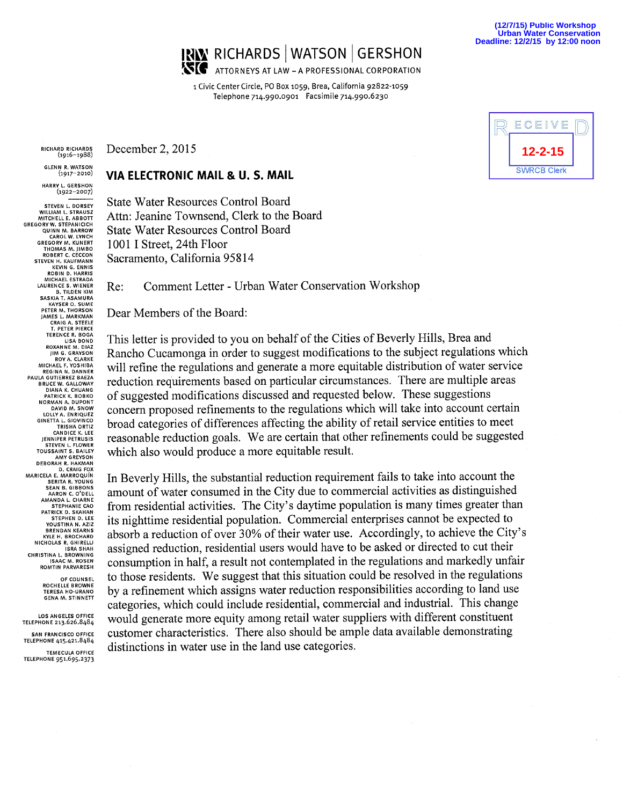

i Civic Center Circle, PO Box io59, Brea, California 92822-1059 Telephone 7i4.99o.ogoi Facsimile 7i4.99o.6230

(igi6-1988)

**GLENN R. WATSON**<br>(1917-2010)

HARRY L. GERSHON (igzz-zoo7)

STEVEN L. DORSEY<br>WILLIAM L. STRAUSZ<br>MITCHELL E. ABBOTT GREGORY W, STEPANICICH QUINN M. BARROW<br>CAROL W. LYNCH<br>GREGORY M. KUNERT<br>THOMAS M. HMBO ROBERT C. CECCON KEVIN G. ENNIS ROBIN D. HARRIS MICHAEL ESTRADA SASKIA T. ASAMURA<br>KAYSER O. SUME PETER M. THORSON CRAIG A, STEELE T. PETER PIERCE TERENCE R. BOGA ROXANNE M, DIAZ FROM A. CLARKE<br>ROV A. CLARKE<br>MICHAEL F. YOSHIBA<br>REGINA N. DANNER PAULA 6UTIERREZ BAE2A BRUCE W. GALLOWAY<br>DIANA K. CHUANG<br>PATRICK K. BOBKO NORMAN A. DUPONT 61NETfA L. GIOVINCO CANDICE K. LEE STEVEN L, FLOWER DEBORAH R. HAKMAN D, CRAIG FOX SEAN B. GIBBONS AMANDA L. CHARNE PATRICK D. SKAHAN<br>STEPHEN D. LEE<br>YOUSTINA N. AZIZ **EXEMPLAN REARNS**<br>KYLE H. BROCHARD<br>NICHOLAS R. GHIRELLI<br>ISRA SHAH CHRISTINA L. BROWNING<br>ISAAC M. ROSEN<br>ROMTIN PARVARESH

> ROCHELLE BROWNE GENA M. STINN ETT

TELEPHONE 415.421.8484 TEMECULA OFFICE TELEPHONE 951.695.2373

RICHARD RICHARDS December  $2, 2015$ 

## <sup>c</sup>'9"-2°'°~ VIA ELECTRONIC MAIL & U. S. MAIL

State Water Resources Control Board Attn: Jeanine Townsend, Clerk to the Board State Water Resources Control Board 1001 I Street, 24th Floor Sacramento, California 95814

Re: Comment Letter - Urban Water Conservation Workshop

Dear Members of the Board:

This letter is provided to you on behalf of the Cities of Beverly Hills, Brea and IM G. GRAVSON Rancho Cucamonga in order to suggest modifications to the subject regulations which will refine the regulations and generate a more equitable distribution of water service reduction requirements based on particular circumstances. There are multiple areas of suggested modifications discussed and requested below. These suggestions concern proposed refinements to the regulations which will take into account certain broad categories of differences affecting the ability of retail service entities to meet reasonable reduction goals. We are certain that other refinements could be suggested which also would produce a more equitable result.

In Beverly Hills, the substantial reduction requirement fails to take into account the amount of water consumed in the City due to commercial activities as distinguished from residential activities. The City's daytime population is many times greater than STEPHEN D. LEE its nighttime residential population. Commercial enterprises cannot be expected to VOUSTINA N. AZIZZ absorb a reduction of over 30% of their water use. Accordingly, to achieve the City's assigned reduction, residential users would have to be asked or directed to cut their consumption in half, a result not contemplated in the regulations and markedly unfair pF COUNSEL to those residents. We suggest that this situation could be resolved in the regulations by a refinement which assigns water reduction responsibilities according to land use categories, which could include residential, commercial and industrial. This change LOS ANGELES OFFICE WOUld generate more equity among retail water suppliers with different constituent SAN FRANCISCO OFFICE customer characteristics. There also should be ample data available demonstrating distinctions in water use in the land use categories.